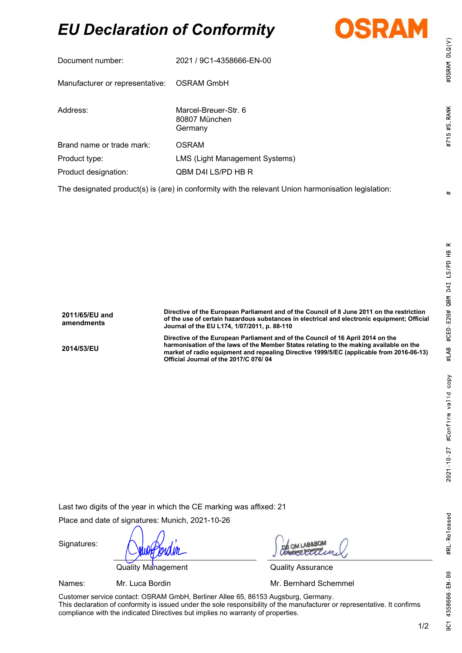## EU Declaration of Conformity



| Document number:                                                                                    | 2021 / 9C1-4358666-EN-00                         |  |  |
|-----------------------------------------------------------------------------------------------------|--------------------------------------------------|--|--|
| Manufacturer or representative:                                                                     | OSRAM GmbH                                       |  |  |
| Address:                                                                                            | Marcel-Breuer-Str. 6<br>80807 München<br>Germany |  |  |
| Brand name or trade mark:                                                                           | OSRAM                                            |  |  |
| Product type:                                                                                       | LMS (Light Management Systems)                   |  |  |
| Product designation:                                                                                | QBM D4I LS/PD HB R                               |  |  |
| The designated product(s) is (are) in conformity with the relevant Union harmonisation legislation: |                                                  |  |  |

| 2011/65/EU and<br>amendments | Directive of the European Parliament and of the Council of 8 June 2011 on the restriction<br>of the use of certain hazardous substances in electrical and electronic equipment; Official<br>Journal of the EU L174, 1/07/2011, p. 88-110                                                                       |
|------------------------------|----------------------------------------------------------------------------------------------------------------------------------------------------------------------------------------------------------------------------------------------------------------------------------------------------------------|
| 2014/53/EU                   | Directive of the European Parliament and of the Council of 16 April 2014 on the<br>harmonisation of the laws of the Member States relating to the making available on the<br>market of radio equipment and repealing Directive 1999/5/EC (applicable from 2016-06-13)<br>Official Journal of the 2017/C 076/04 |

Last two digits of the year in which the CE marking was affixed: 21

Place and date of signatures: Munich, 2021-10-26

Quality Management **Quality Assurance** 

Signatures:

Names: Mr. Luca Bordin Mr. **Mr. Bernhard Schemmel** 

Customer service contact: OSRAM GmbH, Berliner Allee 65, 86153 Augsburg, Germany. This declaration of conformity is issued under the sole responsibility of the manufacturer or representative. It confirms compliance with the indicated Directives but implies no warranty of properties.

#OSRAM OLQ(V)